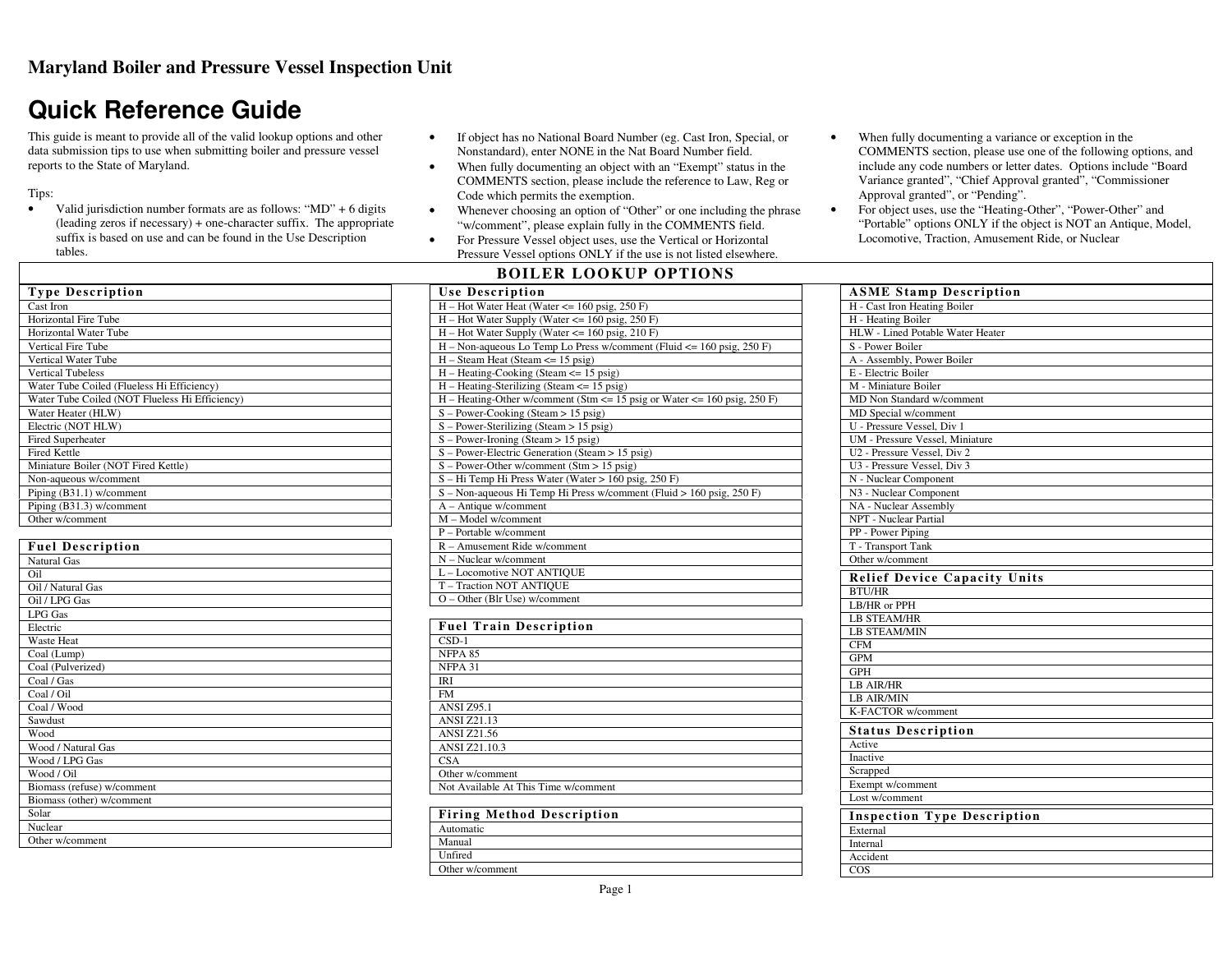# **Quick Reference Guide**

This guide is meant to provide all of the valid lookup options and other data submission tips to use when submitting boiler and pressure vessel reports to the State of Maryland.

Tips:

**Type Description** 

- Valid jurisdiction number formats are as follows: "MD" + 6 digits •(leading zeros if necessary) + one-character suffix. The appropriate suffix is based on use and can be found in the Use Description tables.
- • If object has no National Board Number (eg. Cast Iron, Special, or Nonstandard), enter NONE in the Nat Board Number field.
- When fully documenting an object with an "Exempt" status in the •COMMENTS section, please include the reference to Law, Reg or Code which permits the exemption.
- Whenever choosing an option of "Other" or one including the phrase •"w/comment", please explain fully in the COMMENTS field.
- For Pressure Vessel object uses, use the Vertical or Horizontal •Pressure Vessel options ONLY if the use is not listed elsewhere.

#### **BOILER LOOKUP OPTIONS**

COMMENTS section, please use one of the following options, and include any code numbers or letter dates. Options include "Board Variance granted", "Chief Approval granted", "Commissioner Approval granted", or "Pending". For object uses, use the "Heating-Other", "Power-Other" and •"Portable" options ONLY if the object is NOT an Antique, Model, Locomotive, Traction, Amusement Ride, or Nuclear

When fully documenting a variance or exception in the

•

| Cast Iron                                      |
|------------------------------------------------|
| <b>Horizontal Fire Tube</b>                    |
| <b>Horizontal Water Tube</b>                   |
| <b>Vertical Fire Tube</b>                      |
| Vertical Water Tube                            |
| <b>Vertical Tubeless</b>                       |
| Water Tube Coiled (Flueless Hi Efficiency)     |
| Water Tube Coiled (NOT Flueless Hi Efficiency) |
| Water Heater (HLW)                             |
| Electric (NOT HLW)                             |
| <b>Fired Superheater</b>                       |
| <b>Fired Kettle</b>                            |
| Miniature Boiler (NOT Fired Kettle)            |
| Non-aqueous w/comment                          |
| Piping (B31.1) w/comment                       |
| Piping (B31.3) w/comment                       |
| Other w/comment                                |
|                                                |
| <b>Fuel Description</b>                        |
| Natural Gas                                    |
| O <sub>11</sub>                                |
| Oil / Natural Gas                              |
| Oil / LPG Gas                                  |
| LPG Gas                                        |
| Electric                                       |
| <b>Waste Heat</b>                              |
| Coal (Lump)                                    |
| Coal (Pulverized)                              |
| Coal / Gas                                     |
| Coal / Oil                                     |
| Coal / Wood                                    |
| Sawdust                                        |
| Wood                                           |
| Wood / Natural Gas                             |
| Wood / LPG Gas                                 |
| Wood / Oil                                     |
| Biomass (refuse) w/comment                     |
| Biomass (other) w/comment                      |
| Solar                                          |
| Nuclear                                        |
| Other w/comment                                |
|                                                |

| <b>Use Description</b>                                                     |
|----------------------------------------------------------------------------|
| $H - Hot Water Heat (Water < = 160 psig, 250 F)$                           |
| $H - Hot Water$ Supply (Water $\le$ = 160 psig, 250 F)                     |
| $H - Hot Water$ Supply (Water $\le$ 160 psig, 210 F)                       |
| $H - Non-aqueous Lo Temp Lo Press w/comment (Fluid < = 160 psig, 250 F)$   |
| $H - Steam Heat (Steam \leq 15 \text{ psig})$                              |
| $H - Heating-Cooking (Steam \leq 15 \text{ psig})$                         |
| $H - Heating-Sterilizing (Steam \leq 15 \text{ psig})$                     |
| $H -$ Heating-Other w/comment (Stm <= 15 psig or Water <= 160 psig, 250 F) |
| $S - Power-Cooking (Steam > 15 \psi)$                                      |
| $S - Power-Sterilizing (Steam > 15 \psi)$                                  |
| $S - Power-Ironing (Steam > 15)$ psig)                                     |
| $S - Power$ -Electric Generation (Steam > 15 psig)                         |
| $S - Power-Other w/comment (Stm > 15 psig)$                                |
| S - Hi Temp Hi Press Water (Water > 160 psig, 250 F)                       |
| S – Non-aqueous Hi Temp Hi Press w/comment (Fluid > 160 psig, 250 F)       |
| $A - Antique w/comment$                                                    |
| M - Model w/comment                                                        |
| P - Portable w/comment                                                     |
| $R -$ Amusement Ride w/comment                                             |
| $N - Nuclear$ w/comment                                                    |
| L - Locomotive NOT ANTIQUE                                                 |
| T - Traction NOT ANTIQUE                                                   |
| $O - Other$ (Blr Use) w/comment                                            |
|                                                                            |

| <b>Fuel Train Description</b>        |  |
|--------------------------------------|--|
| $CSD-1$                              |  |
| NFPA 85                              |  |
| NFPA 31                              |  |
| IRI                                  |  |
| <b>FM</b>                            |  |
| <b>ANSI Z95.1</b>                    |  |
| <b>ANSI Z21.13</b>                   |  |
| <b>ANSI Z21.56</b>                   |  |
| ANSI Z21.10.3                        |  |
| <b>CSA</b>                           |  |
| Other w/comment                      |  |
| Not Available At This Time w/comment |  |
|                                      |  |

| <b>Firing Method Description</b> |
|----------------------------------|
| Automatic                        |
| Manual                           |
| Unfired                          |
| Other w/comment                  |

| <b>ASME Stamp Description</b>          |
|----------------------------------------|
| H - Cast Iron Heating Boiler           |
| H - Heating Boiler                     |
| HLW - Lined Potable Water Heater       |
| S - Power Boiler                       |
| A - Assembly, Power Boiler             |
| E - Electric Boiler                    |
| M - Miniature Boiler                   |
| MD Non Standard w/comment              |
| MD Special w/comment                   |
| U - Pressure Vessel, Div 1             |
| <b>UM</b> - Pressure Vessel, Miniature |
| U2 - Pressure Vessel, Div 2            |
| U3 - Pressure Vessel, Div 3            |
| N - Nuclear Component                  |
| N3 - Nuclear Component                 |
| NA - Nuclear Assembly                  |
| <b>NPT</b> - Nuclear Partial           |
| PP - Power Piping                      |
| T - Transport Tank                     |
| Other w/comment                        |
| <b>Relief Device Capacity Units</b>    |
| <b>BTU/HR</b>                          |
| LB/HR or PPH                           |
| <b>LB STEAM/HR</b>                     |
| <b>LB STEAM/MIN</b>                    |
| <b>CFM</b>                             |
| <b>GPM</b>                             |
| <b>GPH</b>                             |
| <b>LB AIR/HR</b>                       |
| <b>LB AIR/MIN</b>                      |
| K-FACTOR w/comment                     |
| <b>Status Description</b>              |
| Active                                 |
| Inactive                               |
| Scrapped                               |
| Exempt w/comment                       |
| Lost w/comment                         |
| <b>Inspection Type Description</b>     |
| External                               |
| <b>Internal</b>                        |
| Accident                               |
| COS                                    |
|                                        |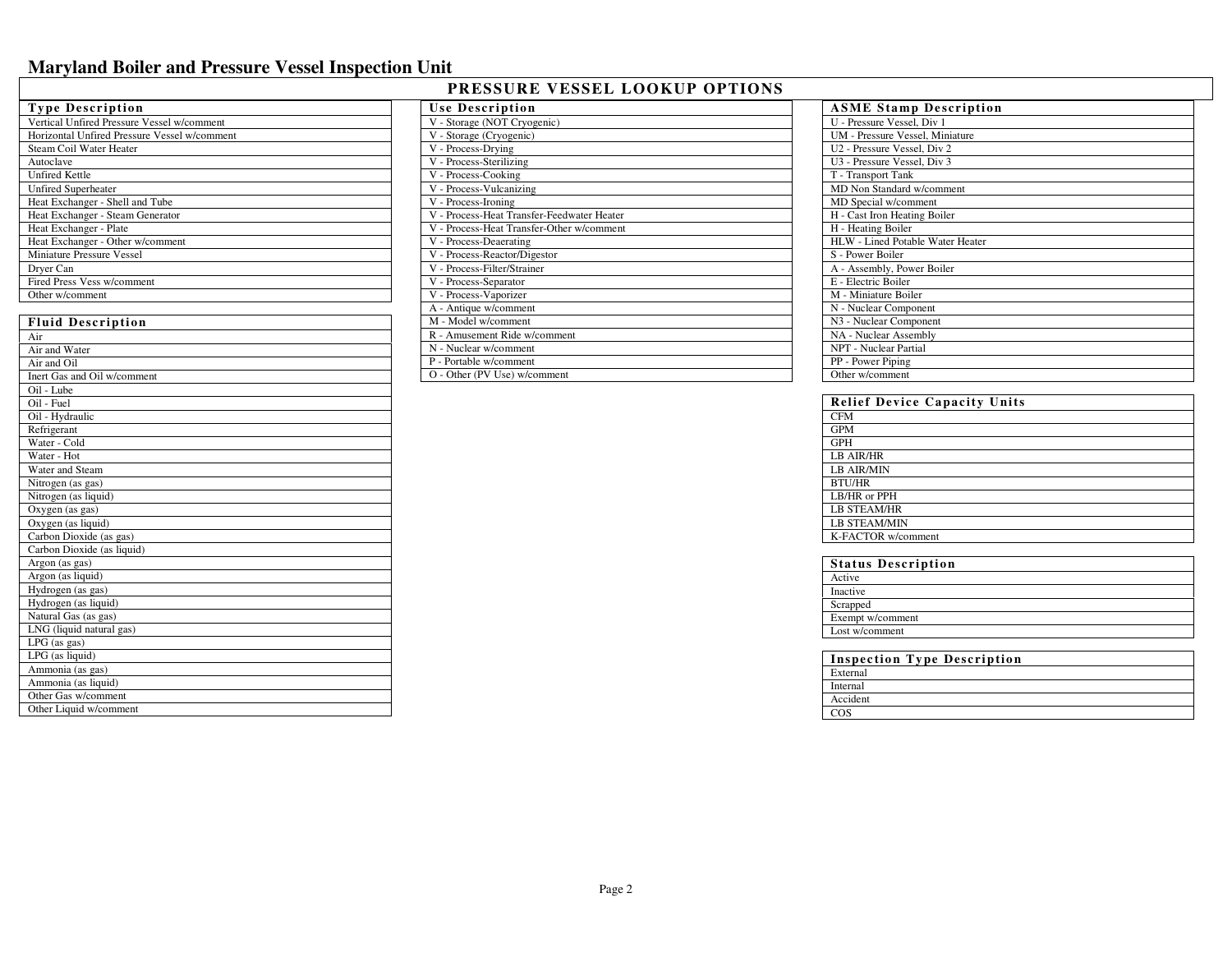| PRESSURE VESSEL LOOKUP OPTIONS |  |  |  |
|--------------------------------|--|--|--|
|--------------------------------|--|--|--|

| <b>Type Description</b>                      |
|----------------------------------------------|
| Vertical Unfired Pressure Vessel w/comment   |
| Horizontal Unfired Pressure Vessel w/comment |
| Steam Coil Water Heater                      |
| Autoclave                                    |
| <b>Unfired Kettle</b>                        |
| <b>Unfired Superheater</b>                   |
| Heat Exchanger - Shell and Tube              |
| Heat Exchanger - Steam Generator             |
| Heat Exchanger - Plate                       |
| Heat Exchanger - Other w/comment             |
| Miniature Pressure Vessel                    |
| Dryer Can                                    |
| Fired Press Vess w/comment                   |
| Other w/comment                              |
|                                              |
| <b>Fluid Description</b>                     |

| <b>Fluid Description</b>                      |
|-----------------------------------------------|
| Air                                           |
| Air and Water                                 |
| Air and Oil                                   |
| Inert Gas and Oil w/comment                   |
| Oil - Lube                                    |
| Oil - Fuel                                    |
| Oil - Hydraulic                               |
| Refrigerant                                   |
| Water - Cold                                  |
| Water - Hot                                   |
| Water and Steam                               |
| Nitrogen (as gas)                             |
| Nitrogen (as liquid)                          |
| Oxygen (as gas)                               |
| Oxygen (as liquid)                            |
| Carbon Dioxide (as gas)                       |
| Carbon Dioxide (as liquid)                    |
| Argon (as gas)                                |
| Argon (as liquid)                             |
| Hydrogen (as gas)                             |
| Hydrogen (as liquid)                          |
| Natural Gas (as gas)                          |
| LNG (liquid natural gas)                      |
| $LPG$ (as gas)                                |
| LPG (as liquid)                               |
| Ammonia (as gas)                              |
| Ammonia (as liquid)                           |
|                                               |
| Other Gas w/comment<br>Other Liquid w/comment |

 $\mathbf{I}$ 

| Use Description                            |
|--------------------------------------------|
| V - Storage (NOT Cryogenic)                |
| V - Storage (Cryogenic)                    |
| V - Process-Drying                         |
| V - Process-Sterilizing                    |
| V - Process-Cooking                        |
| V - Process-Vulcanizing                    |
| V - Process-Ironing                        |
| V - Process-Heat Transfer-Feedwater Heater |
| V - Process-Heat Transfer-Other w/comment  |
| V - Process-Deaerating                     |
| V - Process-Reactor/Digestor               |
| V - Process-Filter/Strainer                |
| V - Process-Separator                      |
| V - Process-Vaporizer                      |
| A - Antique w/comment                      |
| M - Model w/comment                        |
| R - Amusement Ride w/comment               |
| N - Nuclear w/comment                      |
| P - Portable w/comment                     |
| O - Other (PV Use) w/comment               |

| <b>ASME Stamp Description</b>    |
|----------------------------------|
| U - Pressure Vessel, Div 1       |
| UM - Pressure Vessel, Miniature  |
| U2 - Pressure Vessel. Div 2      |
| U3 - Pressure Vessel, Div 3      |
| T - Transport Tank               |
| MD Non Standard w/comment        |
| MD Special w/comment             |
| H - Cast Iron Heating Boiler     |
| H - Heating Boiler               |
| HLW - Lined Potable Water Heater |
| S - Power Boiler                 |
| A - Assembly, Power Boiler       |
| E - Electric Boiler              |
| M - Miniature Boiler             |
| N - Nuclear Component            |
| N3 - Nuclear Component           |
| NA - Nuclear Assembly            |
| NPT - Nuclear Partial            |
| PP - Power Piping                |
| Other w/comment                  |

| <b>Relief Device Capacity Units</b> |
|-------------------------------------|
| <b>CFM</b>                          |
| <b>GPM</b>                          |
| <b>GPH</b>                          |
| <b>LB AIR/HR</b>                    |
| <b>LB AIR/MIN</b>                   |
| <b>BTU/HR</b>                       |
| LB/HR or PPH                        |
| <b>LB STEAM/HR</b>                  |
| <b>LB STEAM/MIN</b>                 |
| K-FACTOR w/comment                  |

| <b>Status Description</b> |
|---------------------------|
| Active                    |
| Inactive                  |
| Scrapped                  |
| Exempt w/comment          |
| Lost w/comment            |

| <b>Inspection Type Description</b> |
|------------------------------------|
| External                           |
| Internal                           |
| Accident                           |
|                                    |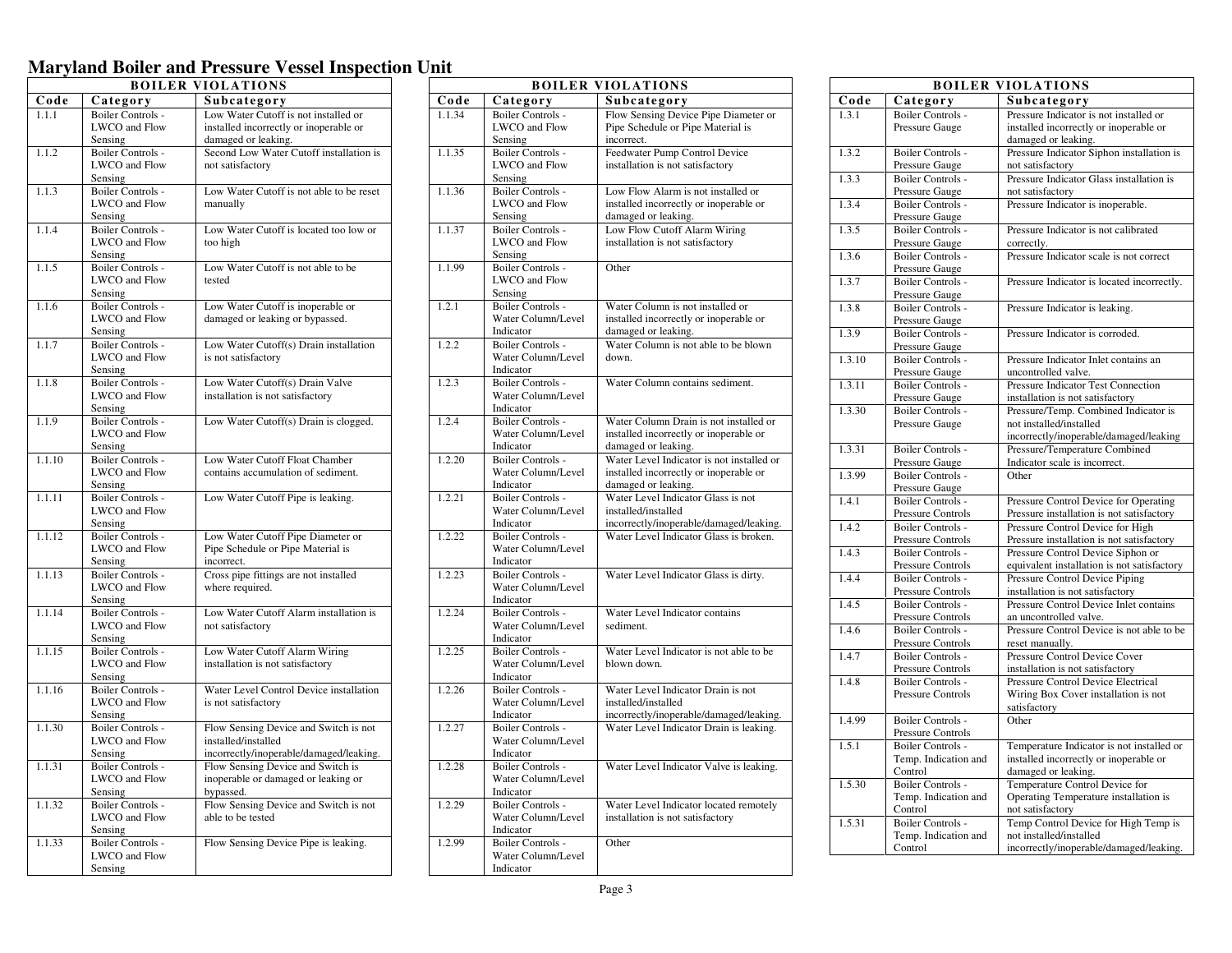| <b>BOILER VIOLATIONS</b> |                              |                                                            |
|--------------------------|------------------------------|------------------------------------------------------------|
| Code                     | Category                     | Subcategory                                                |
| 1.1.1                    | Boiler Controls -            | Low Water Cutoff is not installed or                       |
|                          | <b>LWCO</b> and Flow         | installed incorrectly or inoperable or                     |
|                          | Sensing                      | damaged or leaking.                                        |
| 1.1.2                    | <b>Boiler Controls -</b>     | Second Low Water Cutoff installation is                    |
|                          | LWCO and Flow                | not satisfactory                                           |
|                          | Sensing                      |                                                            |
| 1.1.3                    | <b>Boiler Controls -</b>     | Low Water Cutoff is not able to be reset                   |
|                          | LWCO and Flow                | manually                                                   |
|                          | Sensing                      |                                                            |
| 1.1.4                    | Boiler Controls -            | Low Water Cutoff is located too low or                     |
|                          | LWCO and Flow                | too high                                                   |
|                          | Sensing                      |                                                            |
| 1.1.5                    | <b>Boiler Controls -</b>     | Low Water Cutoff is not able to be                         |
|                          | LWCO and Flow                | tested                                                     |
|                          | Sensing                      |                                                            |
| 1.1.6                    | <b>Boiler Controls -</b>     | Low Water Cutoff is inoperable or                          |
|                          | LWCO and Flow<br>Sensing     | damaged or leaking or bypassed.                            |
| 1.1.7                    | Boiler Controls -            | Low Water Cutoff(s) Drain installation                     |
|                          | LWCO and Flow                | is not satisfactory                                        |
|                          | Sensing                      |                                                            |
| 1.1.8                    | Boiler Controls -            | Low Water Cutoff(s) Drain Valve                            |
|                          | LWCO and Flow                | installation is not satisfactory                           |
|                          | Sensing                      |                                                            |
| 1.1.9                    | Boiler Controls -            | Low Water Cutoff(s) Drain is clogged.                      |
|                          | LWCO and Flow                |                                                            |
|                          | Sensing                      |                                                            |
| 1.1.10                   | <b>Boiler Controls -</b>     | Low Water Cutoff Float Chamber                             |
|                          | LWCO and Flow                | contains accumulation of sediment.                         |
|                          | Sensing                      |                                                            |
| 1.1.11                   | <b>Boiler Controls -</b>     | Low Water Cutoff Pipe is leaking.                          |
|                          | LWCO and Flow                |                                                            |
|                          | Sensing                      |                                                            |
| 1.1.12                   | <b>Boiler Controls -</b>     | Low Water Cutoff Pipe Diameter or                          |
|                          | LWCO and Flow<br>Sensing     | Pipe Schedule or Pipe Material is<br>incorrect.            |
| 1.1.13                   | Boiler Controls -            | Cross pipe fittings are not installed                      |
|                          | LWCO and Flow                | where required.                                            |
|                          | Sensing                      |                                                            |
| 1.1.14                   | Boiler Controls -            | Low Water Cutoff Alarm installation is                     |
|                          | LWCO and Flow                | not satisfactory                                           |
|                          | Sensing                      |                                                            |
| 1.1.15                   | <b>Boiler Controls -</b>     | Low Water Cutoff Alarm Wiring                              |
|                          | LWCO and Flow                | installation is not satisfactory                           |
|                          | Sensing                      |                                                            |
| 1.1.16                   | <b>Boiler Controls -</b>     | Water Level Control Device installation                    |
|                          | LWCO and Flow                | is not satisfactory                                        |
|                          | Sensing                      |                                                            |
| 1.1.30                   | <b>Boiler Controls -</b>     | Flow Sensing Device and Switch is not                      |
|                          | LWCO and Flow                | installed/installed                                        |
|                          | Sensing                      | incorrectly/inoperable/damaged/leaking.                    |
| 1.1.31                   | Boiler Controls -            | Flow Sensing Device and Switch is                          |
|                          | LWCO and Flow                | inoperable or damaged or leaking or                        |
|                          | Sensing                      | bypassed.                                                  |
| 1.1.32                   | <b>Boiler Controls -</b>     | Flow Sensing Device and Switch is not<br>able to be tested |
|                          | LWCO and Flow                |                                                            |
| 1.1.33                   | Sensing<br>Boiler Controls - | Flow Sensing Device Pipe is leaking.                       |
|                          | LWCO and Flow                |                                                            |
|                          | Sensing                      |                                                            |
|                          |                              |                                                            |

|        |                                                | <b>BOILER VIOLATIONS</b>                                    |
|--------|------------------------------------------------|-------------------------------------------------------------|
| Code   | Category                                       | Subcategory                                                 |
| 1.1.34 | <b>Boiler Controls -</b>                       | Flow Sensing Device Pipe Diameter or                        |
|        | LWCO and Flow                                  | Pipe Schedule or Pipe Material is                           |
|        | Sensing                                        | incorrect.                                                  |
| 1.1.35 | <b>Boiler Controls -</b>                       | Feedwater Pump Control Device                               |
|        | <b>LWCO</b> and Flow                           | installation is not satisfactory                            |
|        | Sensing                                        |                                                             |
| 1.1.36 | Boiler Controls -                              | Low Flow Alarm is not installed or                          |
|        | LWCO and Flow                                  | installed incorrectly or inoperable or                      |
|        | Sensing                                        | damaged or leaking.                                         |
| 1.1.37 | <b>Boiler Controls -</b>                       | Low Flow Cutoff Alarm Wiring                                |
|        | LWCO and Flow                                  | installation is not satisfactory                            |
|        | Sensing                                        |                                                             |
| 1.1.99 | <b>Boiler Controls -</b>                       | Other                                                       |
|        | LWCO and Flow                                  |                                                             |
|        | Sensing                                        |                                                             |
| 1.2.1  | <b>Boiler Controls -</b>                       | Water Column is not installed or                            |
|        | Water Column/Level                             | installed incorrectly or inoperable or                      |
| 1.2.2  | Indicator                                      | damaged or leaking.<br>Water Column is not able to be blown |
|        | Boiler Controls -<br>Water Column/Level        | down.                                                       |
|        | Indicator                                      |                                                             |
| 1.2.3  | <b>Boiler Controls -</b>                       | Water Column contains sediment.                             |
|        | Water Column/Level                             |                                                             |
|        | Indicator                                      |                                                             |
| 1.2.4  | <b>Boiler Controls -</b>                       | Water Column Drain is not installed or                      |
|        | Water Column/Level                             | installed incorrectly or inoperable or                      |
|        | Indicator                                      | damaged or leaking.                                         |
| 1.2.20 | <b>Boiler Controls -</b>                       | Water Level Indicator is not installed or                   |
|        | Water Column/Level                             | installed incorrectly or inoperable or                      |
|        | Indicator                                      | damaged or leaking.                                         |
| 1,2.21 | <b>Boiler Controls -</b>                       | Water Level Indicator Glass is not                          |
|        | Water Column/Level                             | installed/installed                                         |
|        | Indicator                                      | incorrectly/inoperable/damaged/leaking.                     |
| 1.2.22 | <b>Boiler Controls -</b>                       | Water Level Indicator Glass is broken.                      |
|        | Water Column/Level                             |                                                             |
|        | Indicator                                      |                                                             |
| 1.2.23 | <b>Boiler Controls -</b><br>Water Column/Level | Water Level Indicator Glass is dirty.                       |
|        | Indicator                                      |                                                             |
| 1.2.24 | <b>Boiler Controls -</b>                       | Water Level Indicator contains                              |
|        | Water Column/Level                             | sediment.                                                   |
|        | Indicator                                      |                                                             |
| 1.2.25 | <b>Boiler Controls -</b>                       | Water Level Indicator is not able to be                     |
|        | Water Column/Level                             | blown down.                                                 |
|        | Indicator                                      |                                                             |
| 1.2.26 | <b>Boiler Controls -</b>                       | Water Level Indicator Drain is not                          |
|        | Water Column/Level                             | installed/installed                                         |
|        | Indicator                                      | incorrectly/inoperable/damaged/leaking.                     |
| 1.2.27 | <b>Boiler Controls -</b>                       | Water Level Indicator Drain is leaking.                     |
|        | Water Column/Level                             |                                                             |
|        | Indicator                                      |                                                             |
| 1.2.28 | <b>Boiler Controls -</b>                       | Water Level Indicator Valve is leaking.                     |
|        | Water Column/Level                             |                                                             |
|        | Indicator                                      |                                                             |
| 1.2.29 | <b>Boiler Controls -</b>                       | Water Level Indicator located remotely                      |
|        | Water Column/Level                             | installation is not satisfactory                            |
|        | Indicator                                      |                                                             |
| 1.2.99 | <b>Boiler Controls -</b><br>Water Column/Level | Other                                                       |
|        |                                                |                                                             |
|        | Indicator                                      |                                                             |

| <b>BOILER VIOLATIONS</b> |                                               |                                                                                     |
|--------------------------|-----------------------------------------------|-------------------------------------------------------------------------------------|
| Code                     | Category                                      | Subcategory                                                                         |
| 1.3.1                    | <b>Boiler Controls -</b>                      | Pressure Indicator is not installed or                                              |
|                          | Pressure Gauge                                | installed incorrectly or inoperable or                                              |
|                          |                                               | damaged or leaking.                                                                 |
| 1.3.2                    | <b>Boiler Controls -</b>                      | Pressure Indicator Siphon installation is                                           |
|                          | Pressure Gauge                                | not satisfactory                                                                    |
| 1.3.3                    | <b>Boiler Controls -</b>                      | Pressure Indicator Glass installation is                                            |
|                          | Pressure Gauge                                | not satisfactory                                                                    |
| 1.3.4                    | <b>Boiler Controls -</b>                      | Pressure Indicator is inoperable.                                                   |
|                          | Pressure Gauge                                |                                                                                     |
| 1.3.5                    | <b>Boiler Controls -</b>                      | Pressure Indicator is not calibrated                                                |
|                          | Pressure Gauge                                | correctly.                                                                          |
| 1.3.6                    | <b>Boiler Controls -</b>                      | Pressure Indicator scale is not correct                                             |
|                          | Pressure Gauge                                |                                                                                     |
| 1.3.7                    | <b>Boiler Controls -</b>                      | Pressure Indicator is located incorrectly.                                          |
|                          | Pressure Gauge                                |                                                                                     |
| 1.3.8                    | <b>Boiler Controls -</b>                      | Pressure Indicator is leaking.                                                      |
| 1.3.9                    | Pressure Gauge<br><b>Boiler Controls -</b>    | Pressure Indicator is corroded.                                                     |
|                          | Pressure Gauge                                |                                                                                     |
| 1.3.10                   | <b>Boiler Controls -</b>                      | Pressure Indicator Inlet contains an                                                |
|                          | Pressure Gauge                                | uncontrolled valve.                                                                 |
| 1.3.11                   | <b>Boiler Controls -</b>                      | <b>Pressure Indicator Test Connection</b>                                           |
|                          | Pressure Gauge                                | installation is not satisfactory                                                    |
| 1.3.30                   | <b>Boiler Controls -</b>                      | Pressure/Temp. Combined Indicator is                                                |
|                          | Pressure Gauge                                | not installed/installed                                                             |
|                          |                                               | incorrectly/inoperable/damaged/leaking                                              |
| 1.3.31                   | <b>Boiler Controls -</b>                      | Pressure/Temperature Combined                                                       |
|                          | Pressure Gauge                                | Indicator scale is incorrect.                                                       |
| 1.3.99                   | Boiler Controls -                             | Other                                                                               |
|                          | Pressure Gauge                                |                                                                                     |
| 1.4.1                    | <b>Boiler Controls -</b>                      | Pressure Control Device for Operating                                               |
|                          | Pressure Controls                             | Pressure installation is not satisfactory                                           |
| 1.4.2                    | <b>Boiler Controls -</b>                      | Pressure Control Device for High                                                    |
|                          | Pressure Controls<br><b>Boiler Controls -</b> | Pressure installation is not satisfactory                                           |
| 1.4.3                    |                                               | Pressure Control Device Siphon or<br>equivalent installation is not satisfactory    |
| 1.4.4                    | Pressure Controls<br><b>Boiler Controls -</b> | Pressure Control Device Piping                                                      |
|                          | Pressure Controls                             | installation is not satisfactory                                                    |
| 1.4.5                    | <b>Boiler Controls -</b>                      | Pressure Control Device Inlet contains                                              |
|                          | Pressure Controls                             | an uncontrolled valve.                                                              |
| 1.4.6                    | <b>Boiler Controls -</b>                      | Pressure Control Device is not able to be                                           |
|                          | Pressure Controls                             | reset manually.                                                                     |
| 1.4.7                    | Boiler Controls -                             | Pressure Control Device Cover                                                       |
|                          | Pressure Controls                             | installation is not satisfactory                                                    |
| 1.4.8                    | <b>Boiler Controls -</b>                      | Pressure Control Device Electrical                                                  |
|                          | Pressure Controls                             | Wiring Box Cover installation is not                                                |
|                          |                                               | satisfactory                                                                        |
| 1.4.99                   | <b>Boiler Controls -</b>                      | Other                                                                               |
| 1.5.1                    | Pressure Controls<br><b>Boiler Controls -</b> |                                                                                     |
|                          | Temp. Indication and                          | Temperature Indicator is not installed or<br>installed incorrectly or inoperable or |
|                          | Control                                       | damaged or leaking.                                                                 |
| 1.5.30                   | <b>Boiler Controls -</b>                      | Temperature Control Device for                                                      |
|                          | Temp. Indication and                          | Operating Temperature installation is                                               |
|                          | Control                                       | not satisfactory                                                                    |
| 1.5.31                   | <b>Boiler Controls -</b>                      | Temp Control Device for High Temp is                                                |
|                          | Temp. Indication and                          | not installed/installed                                                             |
|                          | Control                                       | incorrectly/inoperable/damaged/leaking.                                             |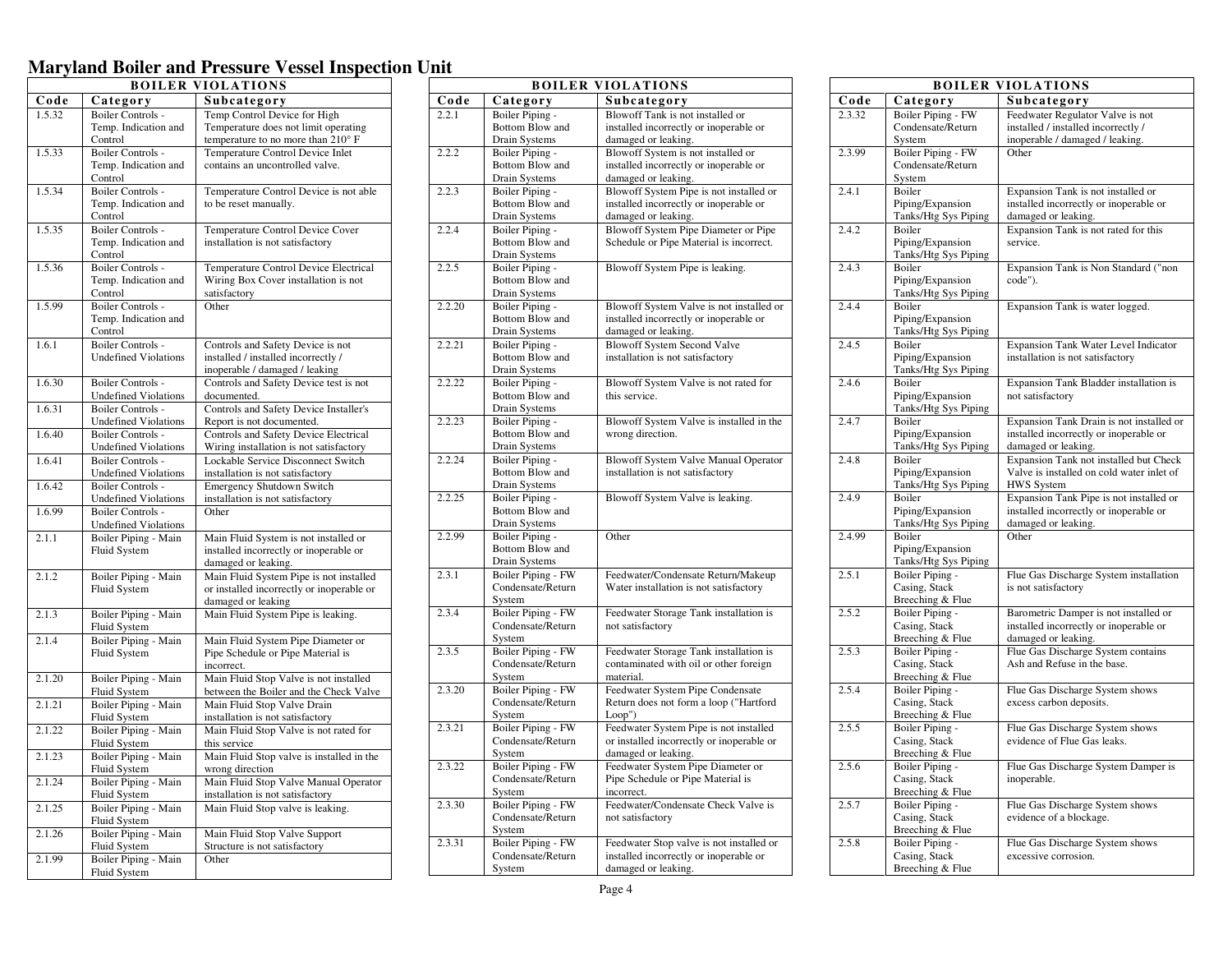| <b>BOILER VIOLATIONS</b> |                                      |                                                                                 |
|--------------------------|--------------------------------------|---------------------------------------------------------------------------------|
| Code                     | Category                             | Subcategory                                                                     |
| 1.5.32                   | <b>Boiler Controls -</b>             | Temp Control Device for High                                                    |
|                          | Temp. Indication and                 | Temperature does not limit operating                                            |
|                          | Control                              | temperature to no more than 210° F                                              |
| 1.5.33                   | <b>Boiler Controls -</b>             | Temperature Control Device Inlet                                                |
|                          | Temp. Indication and                 | contains an uncontrolled valve.                                                 |
|                          | Control                              |                                                                                 |
| 1.5.34                   | <b>Boiler Controls -</b>             | Temperature Control Device is not able                                          |
|                          | Temp. Indication and                 | to be reset manually.                                                           |
|                          | Control                              |                                                                                 |
| 1.5.35                   | <b>Boiler Controls -</b>             | Temperature Control Device Cover                                                |
|                          | Temp. Indication and                 | installation is not satisfactory                                                |
|                          | Control                              |                                                                                 |
| 1.5.36                   | <b>Boiler Controls -</b>             | Temperature Control Device Electrical                                           |
|                          | Temp. Indication and                 | Wiring Box Cover installation is not                                            |
|                          | Control                              | satisfactory                                                                    |
| 1.5.99                   | <b>Boiler Controls -</b>             | Other                                                                           |
|                          | Temp. Indication and                 |                                                                                 |
| 1.6.1                    | Control<br><b>Boiler Controls -</b>  |                                                                                 |
|                          | <b>Undefined Violations</b>          | Controls and Safety Device is not<br>installed / installed incorrectly /        |
|                          |                                      | inoperable / damaged / leaking                                                  |
| 1.6.30                   | Boiler Controls -                    | Controls and Safety Device test is not                                          |
|                          | <b>Undefined Violations</b>          | documented.                                                                     |
| 1.6.31                   | <b>Boiler Controls -</b>             | Controls and Safety Device Installer's                                          |
|                          | <b>Undefined Violations</b>          | Report is not documented.                                                       |
| 1.6.40                   | <b>Boiler Controls -</b>             | <b>Controls and Safety Device Electrical</b>                                    |
|                          | <b>Undefined Violations</b>          | Wiring installation is not satisfactory                                         |
| 1.6.41                   | <b>Boiler Controls -</b>             | Lockable Service Disconnect Switch                                              |
|                          | <b>Undefined Violations</b>          | installation is not satisfactory                                                |
| 1.6.42                   | Boiler Controls -                    | Emergency Shutdown Switch                                                       |
|                          | <b>Undefined Violations</b>          | installation is not satisfactory                                                |
| 1.6.99                   | <b>Boiler Controls -</b>             | Other                                                                           |
|                          | <b>Undefined Violations</b>          |                                                                                 |
| 2.1.1                    | Boiler Piping - Main<br>Fluid System | Main Fluid System is not installed or<br>installed incorrectly or inoperable or |
|                          |                                      | damaged or leaking.                                                             |
| 2.1.2                    | Boiler Piping - Main                 | Main Fluid System Pipe is not installed                                         |
|                          | <b>Fluid System</b>                  | or installed incorrectly or inoperable or                                       |
|                          |                                      | damaged or leaking                                                              |
| 2.1.3                    | Boiler Piping - Main                 | Main Fluid System Pipe is leaking.                                              |
|                          | Fluid System                         |                                                                                 |
| 2.1.4                    | Boiler Piping - Main                 | Main Fluid System Pipe Diameter or                                              |
|                          | <b>Fluid System</b>                  | Pipe Schedule or Pipe Material is                                               |
|                          |                                      | incorrect.                                                                      |
| 2.1.20                   | Boiler Piping - Main                 | Main Fluid Stop Valve is not installed                                          |
|                          | Fluid System                         | between the Boiler and the Check Valve                                          |
| 2.1.21                   | Boiler Piping - Main                 | Main Fluid Stop Valve Drain                                                     |
|                          | Fluid System                         | installation is not satisfactory                                                |
| 2.1.22                   | Boiler Piping - Main                 | Main Fluid Stop Valve is not rated for                                          |
| 2.1.23                   | Fluid System                         | this service                                                                    |
|                          | Boiler Piping - Main<br>Fluid System | Main Fluid Stop valve is installed in the<br>wrong direction                    |
| 2.1.24                   | Boiler Piping - Main                 | Main Fluid Stop Valve Manual Operator                                           |
|                          | Fluid System                         | installation is not satisfactory                                                |
| 2.1.25                   | Boiler Piping - Main                 | Main Fluid Stop valve is leaking.                                               |
|                          | Fluid System                         |                                                                                 |
| 2.1.26                   | Boiler Piping - Main                 | Main Fluid Stop Valve Support                                                   |
|                          | Fluid System                         | Structure is not satisfactory                                                   |
| 2.1.99                   | Boiler Piping - Main                 | Other                                                                           |
|                          | Fluid System                         |                                                                                 |

|        |                                     | <b>BOILER VIOLATIONS</b>                                                            |
|--------|-------------------------------------|-------------------------------------------------------------------------------------|
| Code   | Category                            | Subcategory                                                                         |
| 2.2.1  | Boiler Piping -                     | Blowoff Tank is not installed or                                                    |
|        | <b>Bottom Blow and</b>              | installed incorrectly or inoperable or                                              |
|        | Drain Systems                       | damaged or leaking.                                                                 |
| 2.2.2  | Boiler Piping -<br>Bottom Blow and  | Blowoff System is not installed or                                                  |
|        | Drain Systems                       | installed incorrectly or inoperable or<br>damaged or leaking.                       |
| 2.2.3  | Boiler Piping -                     | Blowoff System Pipe is not installed or                                             |
|        | Bottom Blow and                     | installed incorrectly or inoperable or                                              |
|        | Drain Systems                       | damaged or leaking.                                                                 |
| 2.2.4  | Boiler Piping -                     | Blowoff System Pipe Diameter or Pipe                                                |
|        | Bottom Blow and                     | Schedule or Pipe Material is incorrect.                                             |
|        | Drain Systems                       |                                                                                     |
| 2.2.5  | Boiler Piping -                     | Blowoff System Pipe is leaking.                                                     |
|        | Bottom Blow and                     |                                                                                     |
|        | Drain Systems                       |                                                                                     |
| 2.2.20 | Boiler Piping -                     | Blowoff System Valve is not installed or                                            |
|        | Bottom Blow and<br>Drain Systems    | installed incorrectly or inoperable or<br>damaged or leaking.                       |
| 2.2.21 | Boiler Piping -                     | <b>Blowoff System Second Valve</b>                                                  |
|        | Bottom Blow and                     | installation is not satisfactory                                                    |
|        | Drain Systems                       |                                                                                     |
| 2.2.22 | Boiler Piping -                     | Blowoff System Valve is not rated for                                               |
|        | Bottom Blow and                     | this service.                                                                       |
|        | Drain Systems                       |                                                                                     |
| 2.2.23 | Boiler Piping -                     | Blowoff System Valve is installed in the                                            |
|        | Bottom Blow and                     | wrong direction.                                                                    |
|        | Drain Systems                       |                                                                                     |
| 2.2.24 | Boiler Piping -                     | Blowoff System Valve Manual Operator                                                |
|        | Bottom Blow and<br>Drain Systems    | installation is not satisfactory                                                    |
| 2.2.25 | Boiler Piping -                     | Blowoff System Valve is leaking.                                                    |
|        | Bottom Blow and                     |                                                                                     |
|        | Drain Systems                       |                                                                                     |
| 2.2.99 | Boiler Piping -                     | Other                                                                               |
|        | <b>Bottom Blow and</b>              |                                                                                     |
|        | Drain Systems                       |                                                                                     |
| 2.3.1  | <b>Boiler Piping - FW</b>           | Feedwater/Condensate Return/Makeup                                                  |
|        | Condensate/Return                   | Water installation is not satisfactory                                              |
| 2.3.4  | System<br><b>Boiler Piping - FW</b> | Feedwater Storage Tank installation is                                              |
|        | Condensate/Return                   | not satisfactory                                                                    |
|        | System                              |                                                                                     |
| 2.3.5  | <b>Boiler Piping - FW</b>           | Feedwater Storage Tank installation is                                              |
|        | Condensate/Return                   | contaminated with oil or other foreign                                              |
|        | System                              | material.                                                                           |
| 2.3.20 | Boiler Piping - FW                  | Feedwater System Pipe Condensate                                                    |
|        | Condensate/Return                   | Return does not form a loop ("Hartford                                              |
|        | System<br><b>Boiler Piping - FW</b> | Loop")                                                                              |
| 2.3.21 | Condensate/Return                   | Feedwater System Pipe is not installed<br>or installed incorrectly or inoperable or |
|        | System                              | damaged or leaking.                                                                 |
| 2.3.22 | <b>Boiler Piping - FW</b>           | Feedwater System Pipe Diameter or                                                   |
|        | Condensate/Return                   | Pipe Schedule or Pipe Material is                                                   |
|        | System                              | incorrect.                                                                          |
| 2.3.30 | <b>Boiler Piping - FW</b>           | Feedwater/Condensate Check Valve is                                                 |
|        | Condensate/Return                   | not satisfactory                                                                    |
|        | System                              |                                                                                     |
| 2.3.31 | <b>Boiler Piping - FW</b>           | Feedwater Stop valve is not installed or                                            |
|        | Condensate/Return                   | installed incorrectly or inoperable or                                              |
|        | System                              | damaged or leaking.                                                                 |

|        |                                          | <b>BOILER VIOLATIONS</b>                                                        |
|--------|------------------------------------------|---------------------------------------------------------------------------------|
| Code   | Category                                 | Subcategory                                                                     |
| 2.3.32 | <b>Boiler Piping - FW</b>                | Feedwater Regulator Valve is not                                                |
|        | Condensate/Return                        | installed / installed incorrectly /                                             |
|        | System                                   | inoperable / damaged / leaking.                                                 |
| 2.3.99 | Boiler Piping - FW                       | Other                                                                           |
|        | Condensate/Return<br>System              |                                                                                 |
| 2.4.1  | Boiler                                   | Expansion Tank is not installed or                                              |
|        | Piping/Expansion                         | installed incorrectly or inoperable or                                          |
|        | Tanks/Htg Sys Piping                     | damaged or leaking.                                                             |
| 2.4.2  | Boiler                                   | Expansion Tank is not rated for this                                            |
|        | Piping/Expansion                         | service.                                                                        |
|        | Tanks/Htg Sys Piping                     |                                                                                 |
| 2.4.3  | Boiler<br>Piping/Expansion               | Expansion Tank is Non Standard ("non<br>code").                                 |
|        | Tanks/Htg Sys Piping                     |                                                                                 |
| 2.4.4  | <b>Boiler</b>                            | Expansion Tank is water logged.                                                 |
|        | Piping/Expansion                         |                                                                                 |
|        | Tanks/Htg Sys Piping                     |                                                                                 |
| 2.4.5  | Boiler                                   | Expansion Tank Water Level Indicator                                            |
|        | Piping/Expansion                         | installation is not satisfactory                                                |
|        | Tanks/Htg Sys Piping<br>Boiler           |                                                                                 |
| 2.4.6  | Piping/Expansion                         | Expansion Tank Bladder installation is<br>not satisfactory                      |
|        | Tanks/Htg Sys Piping                     |                                                                                 |
| 2.4.7  | Boiler                                   | Expansion Tank Drain is not installed or                                        |
|        | Piping/Expansion                         | installed incorrectly or inoperable or                                          |
|        | Tanks/Htg Sys Piping                     | damaged or leaking.                                                             |
| 2.4.8  | Boiler                                   | Expansion Tank not installed but Check                                          |
|        | Piping/Expansion                         | Valve is installed on cold water inlet of                                       |
|        | Tanks/Htg Sys Piping                     | <b>HWS</b> System                                                               |
| 2.4.9  | <b>Boiler</b>                            | Expansion Tank Pipe is not installed or                                         |
|        | Piping/Expansion<br>Tanks/Htg Sys Piping | installed incorrectly or inoperable or<br>damaged or leaking.                   |
| 2.4.99 | Boiler                                   | Other                                                                           |
|        | Piping/Expansion                         |                                                                                 |
|        | Tanks/Htg Sys Piping                     |                                                                                 |
| 2.5.1  | Boiler Piping -                          | Flue Gas Discharge System installation                                          |
|        | Casing, Stack                            | is not satisfactory                                                             |
|        | Breeching & Flue                         |                                                                                 |
| 2.5.2  | Boiler Piping -<br>Casing, Stack         | Barometric Damper is not installed or<br>installed incorrectly or inoperable or |
|        | Breeching & Flue                         | damaged or leaking.                                                             |
| 2.5.3  | Boiler Piping -                          | Flue Gas Discharge System contains                                              |
|        | Casing, Stack                            | Ash and Refuse in the base.                                                     |
|        | Breeching & Flue                         |                                                                                 |
| 2.5.4  | Boiler Piping -                          | Flue Gas Discharge System shows                                                 |
|        | Casing, Stack                            | excess carbon deposits.                                                         |
| 2.5.5  | Breeching & Flue                         |                                                                                 |
|        | Boiler Piping -<br>Casing, Stack         | Flue Gas Discharge System shows<br>evidence of Flue Gas leaks.                  |
|        | Breeching & Flue                         |                                                                                 |
| 2.5.6  | Boiler Piping -                          | Flue Gas Discharge System Damper is                                             |
|        | Casing, Stack                            | inoperable.                                                                     |
|        | Breeching & Flue                         |                                                                                 |
| 2.5.7  | Boiler Piping -                          | Flue Gas Discharge System shows                                                 |
|        | Casing, Stack                            | evidence of a blockage.                                                         |
|        | Breeching & Flue                         |                                                                                 |
| 2.5.8  | Boiler Piping -<br>Casing, Stack         | Flue Gas Discharge System shows<br>excessive corrosion.                         |
|        | Breeching & Flue                         |                                                                                 |
|        |                                          |                                                                                 |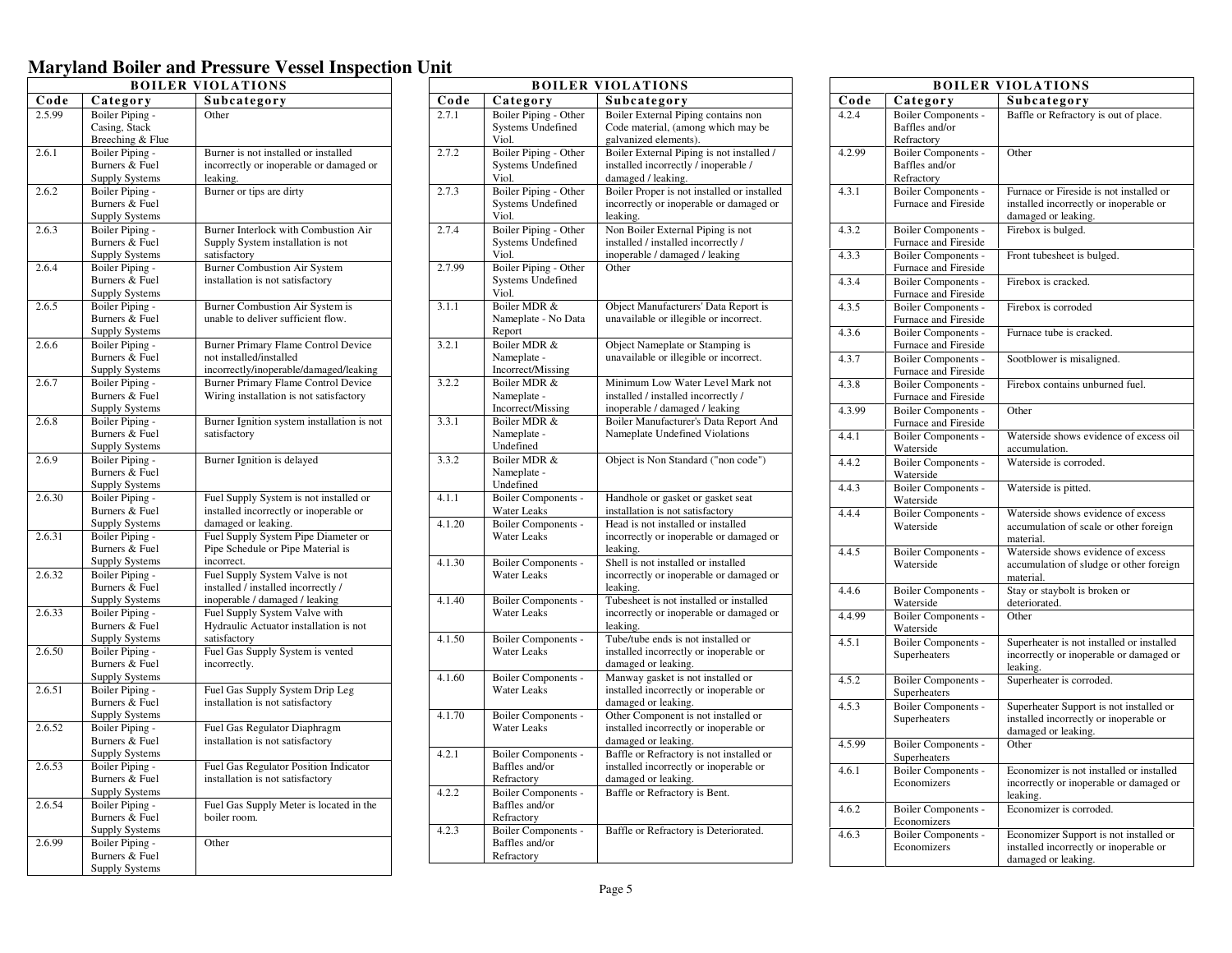| <b>BOILER VIOLATIONS</b> |                       |                                            |
|--------------------------|-----------------------|--------------------------------------------|
| Code                     | Category              | Subcategory                                |
| 2.5.99                   | Boiler Piping -       | Other                                      |
|                          | Casing, Stack         |                                            |
|                          | Breeching & Flue      |                                            |
| 2.6.1                    | Boiler Piping -       | Burner is not installed or installed       |
|                          | Burners & Fuel        | incorrectly or inoperable or damaged or    |
|                          | Supply Systems        | leaking.                                   |
| 2.6.2                    | Boiler Piping -       | Burner or tips are dirty                   |
|                          | Burners & Fuel        |                                            |
|                          | <b>Supply Systems</b> |                                            |
| 2.6.3                    | Boiler Piping -       | Burner Interlock with Combustion Air       |
|                          | Burners & Fuel        | Supply System installation is not          |
|                          | Supply Systems        | satisfactory                               |
| 2.6.4                    | Boiler Piping -       | <b>Burner Combustion Air System</b>        |
|                          | Burners & Fuel        | installation is not satisfactory           |
|                          | <b>Supply Systems</b> |                                            |
| 2.6.5                    | Boiler Piping -       | Burner Combustion Air System is            |
|                          | Burners & Fuel        | unable to deliver sufficient flow.         |
|                          | <b>Supply Systems</b> |                                            |
| 2.6.6                    | Boiler Piping -       | Burner Primary Flame Control Device        |
|                          | Burners & Fuel        | not installed/installed                    |
|                          | Supply Systems        | incorrectly/inoperable/damaged/leaking     |
| 2.6.7                    | Boiler Piping -       | Burner Primary Flame Control Device        |
|                          | Burners & Fuel        | Wiring installation is not satisfactory    |
|                          | <b>Supply Systems</b> |                                            |
| 2.6.8                    | Boiler Piping -       | Burner Ignition system installation is not |
|                          | Burners & Fuel        | satisfactory                               |
|                          | Supply Systems        |                                            |
| 2.6.9                    | Boiler Piping -       | Burner Ignition is delayed                 |
|                          | Burners & Fuel        |                                            |
|                          | <b>Supply Systems</b> |                                            |
| 2.6.30                   | Boiler Piping -       | Fuel Supply System is not installed or     |
|                          | Burners & Fuel        | installed incorrectly or inoperable or     |
|                          | <b>Supply Systems</b> | damaged or leaking.                        |
| 2.6.31                   | Boiler Piping -       | Fuel Supply System Pipe Diameter or        |
|                          | Burners & Fuel        | Pipe Schedule or Pipe Material is          |
|                          | Supply Systems        | incorrect.                                 |
| 2.6.32                   | Boiler Piping -       | Fuel Supply System Valve is not            |
|                          | Burners & Fuel        | installed / installed incorrectly /        |
|                          | <b>Supply Systems</b> | inoperable / damaged / leaking             |
| 2.6.33                   | Boiler Piping -       | Fuel Supply System Valve with              |
|                          | Burners & Fuel        | Hydraulic Actuator installation is not     |
|                          | <b>Supply Systems</b> | satisfactory                               |
| 2.6.50                   | Boiler Piping -       | Fuel Gas Supply System is vented           |
|                          | Burners & Fuel        | incorrectly.                               |
|                          | Supply Systems        |                                            |
| 2.6.51                   | Boiler Piping -       | Fuel Gas Supply System Drip Leg            |
|                          | Burners & Fuel        | installation is not satisfactory           |
|                          | <b>Supply Systems</b> |                                            |
| 2.6.52                   | Boiler Piping -       | Fuel Gas Regulator Diaphragm               |
|                          | Burners & Fuel        | installation is not satisfactory           |
|                          | Supply Systems        |                                            |
| 2.6.53                   | Boiler Piping -       | Fuel Gas Regulator Position Indicator      |
|                          | Burners & Fuel        | installation is not satisfactory           |
|                          | <b>Supply Systems</b> |                                            |
| 2.6.54                   | Boiler Piping -       | Fuel Gas Supply Meter is located in the    |
|                          | Burners & Fuel        | boiler room.                               |
|                          | Supply Systems        |                                            |
| 2.6.99                   | Boiler Piping -       | Other                                      |
|                          | Burners & Fuel        |                                            |
|                          | <b>Supply Systems</b> |                                            |

|        |                                                            | <b>BOILER VIOLATIONS</b>                                                                                   |
|--------|------------------------------------------------------------|------------------------------------------------------------------------------------------------------------|
| Code   | Category                                                   | Subcategory                                                                                                |
| 2.7.1  | Boiler Piping - Other<br><b>Systems Undefined</b><br>Viol. | Boiler External Piping contains non<br>Code material, (among which may be<br>galvanized elements).         |
| 2.7.2  | Boiler Piping - Other<br><b>Systems Undefined</b><br>Viol. | Boiler External Piping is not installed /<br>installed incorrectly / inoperable /<br>damaged / leaking.    |
| 2.7.3  | Boiler Piping - Other<br><b>Systems Undefined</b><br>Viol. | Boiler Proper is not installed or installed<br>incorrectly or inoperable or damaged or<br>leaking.         |
| 2.7.4  | Boiler Piping - Other<br>Systems Undefined<br>Viol.        | Non Boiler External Piping is not<br>installed / installed incorrectly /<br>inoperable / damaged / leaking |
| 2.7.99 | Boiler Piping - Other<br><b>Systems Undefined</b><br>Viol. | Other                                                                                                      |
| 3.1.1  | Boiler MDR &<br>Nameplate - No Data<br>Report              | Object Manufacturers' Data Report is<br>unavailable or illegible or incorrect.                             |
| 3.2.1  | Boiler MDR &<br>Nameplate -<br>Incorrect/Missing           | Object Nameplate or Stamping is<br>unavailable or illegible or incorrect.                                  |
| 3.2.2  | Boiler MDR &<br>Nameplate -<br>Incorrect/Missing           | Minimum Low Water Level Mark not<br>installed / installed incorrectly /<br>inoperable / damaged / leaking  |
| 3.3.1  | Boiler MDR &<br>Nameplate -<br>Undefined                   | Boiler Manufacturer's Data Report And<br>Nameplate Undefined Violations                                    |
| 3.3.2  | Boiler MDR &<br>Nameplate -<br>Undefined                   | Object is Non Standard ("non code")                                                                        |
| 4.1.1  | <b>Boiler Components -</b><br>Water Leaks                  | Handhole or gasket or gasket seat<br>installation is not satisfactory                                      |
| 4.1.20 | <b>Boiler Components -</b><br><b>Water Leaks</b>           | Head is not installed or installed<br>incorrectly or inoperable or damaged or<br>leaking.                  |
| 4.1.30 | Boiler Components -<br><b>Water Leaks</b>                  | Shell is not installed or installed<br>incorrectly or inoperable or damaged or<br>leaking.                 |
| 4.1.40 | Boiler Components -<br><b>Water Leaks</b>                  | Tubesheet is not installed or installed<br>incorrectly or inoperable or damaged or<br>leaking.             |
| 4.1.50 | Boiler Components -<br><b>Water Leaks</b>                  | Tube/tube ends is not installed or<br>installed incorrectly or inoperable or<br>damaged or leaking.        |
| 4.1.60 | Boiler Components -<br>Water Leaks                         | Manway gasket is not installed or<br>installed incorrectly or inoperable or<br>damaged or leaking.         |
| 4.1.70 | Boiler Components -<br><b>Water Leaks</b>                  | Other Component is not installed or<br>installed incorrectly or inoperable or<br>damaged or leaking.       |
| 4.2.1  | Boiler Components -<br>Baffles and/or<br>Refractory        | Baffle or Refractory is not installed or<br>installed incorrectly or inoperable or<br>damaged or leaking.  |
| 4.2.2  | Boiler Components -<br>Baffles and/or<br>Refractory        | Baffle or Refractory is Bent.                                                                              |
| 4.2.3  | Boiler Components -<br>Baffles and/or<br>Refractory        | Baffle or Refractory is Deteriorated.                                                                      |

|        |                                                            | <b>BOILER VIOLATIONS</b>                                                                                 |
|--------|------------------------------------------------------------|----------------------------------------------------------------------------------------------------------|
| Code   | Category                                                   | Subcategory                                                                                              |
| 4.2.4  | Boiler Components -<br>Baffles and/or<br>Refractory        | Baffle or Refractory is out of place.                                                                    |
| 4.2.99 | <b>Boiler Components -</b><br>Baffles and/or<br>Refractory | Other                                                                                                    |
| 4.3.1  | Boiler Components -<br>Furnace and Fireside                | Furnace or Fireside is not installed or<br>installed incorrectly or inoperable or<br>damaged or leaking. |
| 4.3.2  | Boiler Components -<br>Furnace and Fireside                | Firebox is bulged.                                                                                       |
| 4.3.3  | <b>Boiler Components -</b><br>Furnace and Fireside         | Front tubesheet is bulged.                                                                               |
| 4.3.4  | Boiler Components -<br>Furnace and Fireside                | Firebox is cracked.                                                                                      |
| 4.3.5  | Boiler Components -<br>Furnace and Fireside                | Firebox is corroded                                                                                      |
| 4.3.6  | Boiler Components -<br>Furnace and Fireside                | Furnace tube is cracked.                                                                                 |
| 4.3.7  | Boiler Components -<br>Furnace and Fireside                | Sootblower is misaligned.                                                                                |
| 4.3.8  | Boiler Components -<br>Furnace and Fireside                | Firebox contains unburned fuel.                                                                          |
| 4.3.99 | Boiler Components -<br>Furnace and Fireside                | Other                                                                                                    |
| 4.4.1  | Boiler Components -<br>Waterside                           | Waterside shows evidence of excess oil<br>accumulation.                                                  |
| 4.4.2  | <b>Boiler Components -</b><br>Waterside                    | Waterside is corroded.                                                                                   |
| 4.4.3  | Boiler Components -<br>Waterside                           | Waterside is pitted.                                                                                     |
| 4.4.4  | Boiler Components -<br>Waterside                           | Waterside shows evidence of excess<br>accumulation of scale or other foreign<br>material.                |
| 4.4.5  | Boiler Components -<br>Waterside                           | Waterside shows evidence of excess<br>accumulation of sludge or other foreign<br>material.               |
| 4.4.6  | Boiler Components -<br>Waterside                           | Stay or staybolt is broken or<br>deteriorated.                                                           |
| 4.4.99 | Boiler Components -<br>Waterside                           | Other                                                                                                    |
| 4.5.1  | <b>Boiler Components -</b><br>Superheaters                 | Superheater is not installed or installed<br>incorrectly or inoperable or damaged or<br>leaking.         |
| 4.5.2  | <b>Boiler Components -</b><br>Superheaters                 | Superheater is corroded.                                                                                 |
| 4.5.3  | Boiler Components -<br>Superheaters                        | Superheater Support is not installed or<br>installed incorrectly or inoperable or<br>damaged or leaking. |
| 4.5.99 | Boiler Components -<br>Superheaters                        | Other                                                                                                    |
| 4.6.1  | <b>Boiler Components -</b><br>Economizers                  | Economizer is not installed or installed<br>incorrectly or inoperable or damaged or<br>leaking.          |
| 4.6.2  | Boiler Components -<br>Economizers                         | Economizer is corroded.                                                                                  |
| 4.6.3  | Boiler Components -<br>Economizers                         | Economizer Support is not installed or<br>installed incorrectly or inoperable or<br>damaged or leaking.  |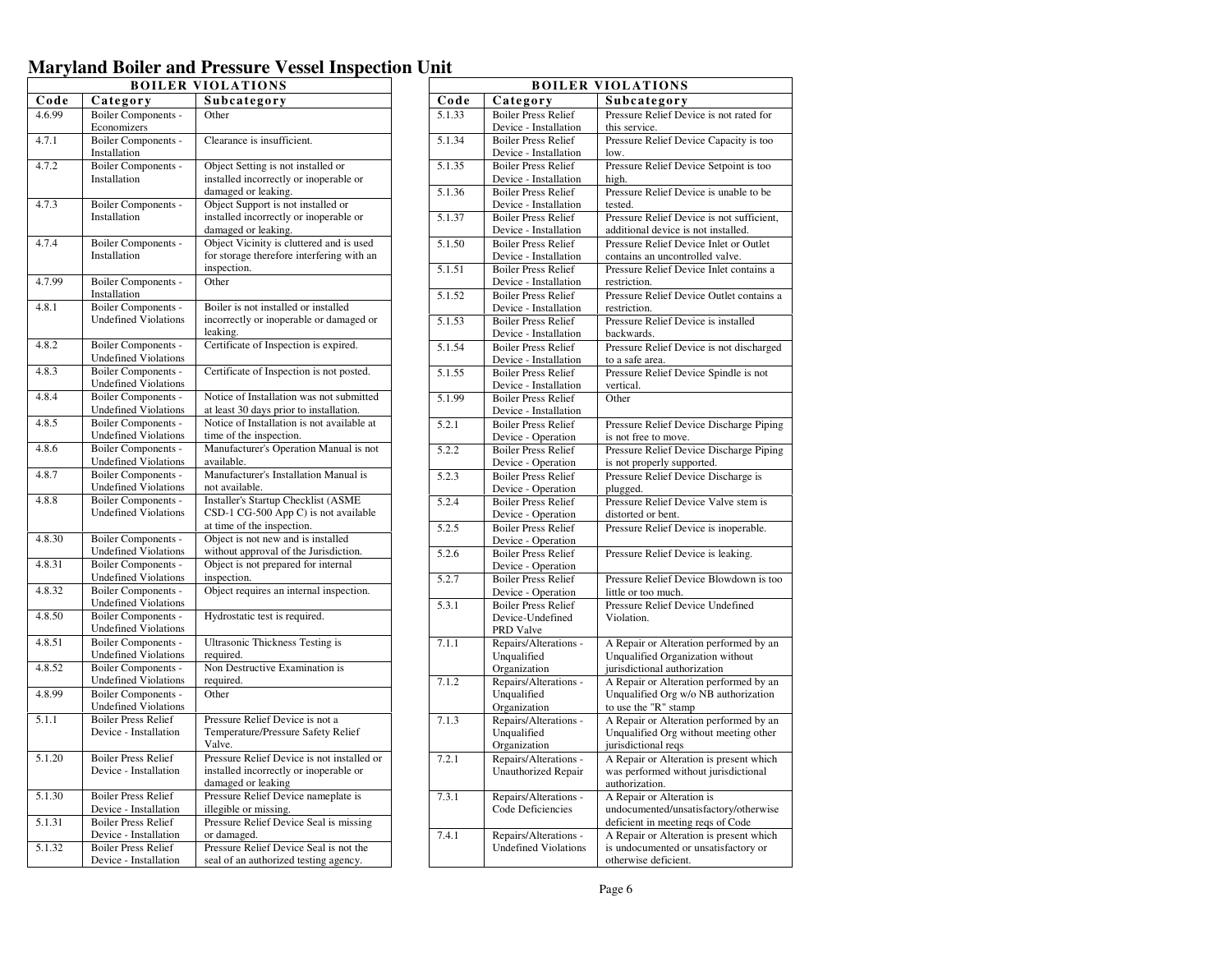|        |                             | <b>BOILER VIOLATIONS</b>                   |
|--------|-----------------------------|--------------------------------------------|
| Code   | Category                    | Subcategory                                |
| 4.6.99 | Boiler Components -         | Other                                      |
|        | Economizers                 |                                            |
| 4.7.1  | Boiler Components -         | Clearance is insufficient.                 |
|        | Installation                |                                            |
| 4.7.2  | <b>Boiler Components -</b>  | Object Setting is not installed or         |
|        | Installation                | installed incorrectly or inoperable or     |
|        |                             | damaged or leaking.                        |
| 4.7.3  | Boiler Components -         | Object Support is not installed or         |
|        | Installation                | installed incorrectly or inoperable or     |
|        |                             | damaged or leaking.                        |
| 4.7.4  | Boiler Components -         | Object Vicinity is cluttered and is used   |
|        | Installation                | for storage therefore interfering with an  |
|        |                             | inspection.                                |
| 4.7.99 | Boiler Components -         | Other                                      |
|        | Installation                |                                            |
| 4.8.1  | Boiler Components -         | Boiler is not installed or installed       |
|        | <b>Undefined Violations</b> | incorrectly or inoperable or damaged or    |
|        |                             | leaking.                                   |
| 4.8.2  | Boiler Components -         | Certificate of Inspection is expired.      |
|        | <b>Undefined Violations</b> |                                            |
| 4.8.3  | <b>Boiler Components -</b>  | Certificate of Inspection is not posted.   |
|        | <b>Undefined Violations</b> |                                            |
|        | Boiler Components -         | Notice of Installation was not submitted   |
| 4.8.4  | <b>Undefined Violations</b> |                                            |
|        |                             | at least 30 days prior to installation.    |
| 4.8.5  | <b>Boiler Components -</b>  | Notice of Installation is not available at |
|        | <b>Undefined Violations</b> | time of the inspection.                    |
| 4.8.6  | Boiler Components -         | Manufacturer's Operation Manual is not     |
|        | <b>Undefined Violations</b> | available.                                 |
| 4.8.7  | Boiler Components -         | Manufacturer's Installation Manual is      |
|        | <b>Undefined Violations</b> | not available.                             |
| 4.8.8  | Boiler Components -         | <b>Installer's Startup Checklist (ASME</b> |
|        | <b>Undefined Violations</b> | CSD-1 CG-500 App C) is not available       |
|        |                             | at time of the inspection.                 |
| 4.8.30 | Boiler Components -         | Object is not new and is installed         |
|        | <b>Undefined Violations</b> | without approval of the Jurisdiction.      |
| 4.8.31 | Boiler Components -         | Object is not prepared for internal        |
|        | <b>Undefined Violations</b> | inspection.                                |
| 4.8.32 | <b>Boiler Components -</b>  | Object requires an internal inspection.    |
|        | <b>Undefined Violations</b> |                                            |
| 4.8.50 | Boiler Components -         | Hydrostatic test is required.              |
|        | <b>Undefined Violations</b> |                                            |
| 4.8.51 | Boiler Components -         | <b>Ultrasonic Thickness Testing is</b>     |
|        | <b>Undefined Violations</b> | required.                                  |
| 4.8.52 | Boiler Components -         | Non Destructive Examination is             |
|        | <b>Undefined Violations</b> | required.                                  |
| 4.8.99 | <b>Boiler Components -</b>  | Other                                      |
|        | <b>Undefined Violations</b> |                                            |
| 5.1.1  | <b>Boiler Press Relief</b>  | Pressure Relief Device is not a            |
|        | Device - Installation       | Temperature/Pressure Safety Relief         |
|        |                             | Valve.                                     |
| 5.1.20 | <b>Boiler Press Relief</b>  | Pressure Relief Device is not installed or |
|        | Device - Installation       | installed incorrectly or inoperable or     |
|        |                             | damaged or leaking                         |
| 5.1.30 | <b>Boiler Press Relief</b>  | Pressure Relief Device nameplate is        |
|        | Device - Installation       | illegible or missing.                      |
| 5.1.31 | <b>Boiler Press Relief</b>  | Pressure Relief Device Seal is missing     |
|        | Device - Installation       | or damaged.                                |
| 5.1.32 | <b>Boiler Press Relief</b>  | Pressure Relief Device Seal is not the     |
|        | Device - Installation       | seal of an authorized testing agency.      |

|                     |                                                      | <b>BOILER VIOLATIONS</b>                                                        |
|---------------------|------------------------------------------------------|---------------------------------------------------------------------------------|
| Code                | Category                                             | Subcategory                                                                     |
| 5.1.33              | <b>Boiler Press Relief</b>                           | Pressure Relief Device is not rated for                                         |
|                     | Device - Installation                                | this service.                                                                   |
| 5.1.34              | <b>Boiler Press Relief</b>                           | Pressure Relief Device Capacity is too                                          |
|                     | Device - Installation                                | low.                                                                            |
| $\overline{5.1.35}$ | <b>Boiler Press Relief</b>                           | Pressure Relief Device Setpoint is too                                          |
|                     | Device - Installation                                | high.                                                                           |
| 5.1.36              | <b>Boiler Press Relief</b>                           | Pressure Relief Device is unable to be                                          |
|                     | Device - Installation                                | tested.                                                                         |
| 5.1.37              | <b>Boiler Press Relief</b>                           | Pressure Relief Device is not sufficient,                                       |
|                     | Device - Installation                                | additional device is not installed.                                             |
| 5.1.50              | <b>Boiler Press Relief</b>                           | Pressure Relief Device Inlet or Outlet                                          |
|                     | Device - Installation                                | contains an uncontrolled valve.                                                 |
| $\overline{5.1.51}$ | <b>Boiler Press Relief</b>                           | Pressure Relief Device Inlet contains a                                         |
|                     | Device - Installation                                | restriction.                                                                    |
| 5.1.52              | <b>Boiler Press Relief</b>                           | Pressure Relief Device Outlet contains a                                        |
| 5.1.53              | Device - Installation<br><b>Boiler Press Relief</b>  | restriction.<br>Pressure Relief Device is installed                             |
|                     | Device - Installation                                | backwards.                                                                      |
| 5.1.54              | <b>Boiler Press Relief</b>                           | Pressure Relief Device is not discharged                                        |
|                     | Device - Installation                                | to a safe area.                                                                 |
| 5.1.55              | <b>Boiler Press Relief</b>                           | Pressure Relief Device Spindle is not                                           |
|                     | Device - Installation                                | vertical.                                                                       |
| 5.1.99              | <b>Boiler Press Relief</b>                           | Other                                                                           |
|                     | Device - Installation                                |                                                                                 |
| 5.2.1               | <b>Boiler Press Relief</b>                           | Pressure Relief Device Discharge Piping                                         |
|                     | Device - Operation                                   | is not free to move.                                                            |
| 5.2.2               | <b>Boiler Press Relief</b>                           | Pressure Relief Device Discharge Piping                                         |
|                     | Device - Operation                                   | is not properly supported.                                                      |
| 5.2.3               | <b>Boiler Press Relief</b>                           | Pressure Relief Device Discharge is                                             |
|                     | Device - Operation                                   | plugged.                                                                        |
| 5.2.4               | <b>Boiler Press Relief</b>                           | Pressure Relief Device Valve stem is                                            |
|                     | Device - Operation                                   | distorted or bent.                                                              |
| 5.2.5               | <b>Boiler Press Relief</b>                           | Pressure Relief Device is inoperable.                                           |
|                     | Device - Operation                                   |                                                                                 |
| 5.2.6               | <b>Boiler Press Relief</b>                           | Pressure Relief Device is leaking.                                              |
|                     | Device - Operation                                   |                                                                                 |
| 5.2.7               | <b>Boiler Press Relief</b>                           | Pressure Relief Device Blowdown is too                                          |
| 5.3.1               | Device - Operation<br><b>Boiler Press Relief</b>     | little or too much.<br>Pressure Relief Device Undefined                         |
|                     | Device-Undefined                                     | Violation.                                                                      |
|                     | PRD Valve                                            |                                                                                 |
| 7.1.1               | Repairs/Alterations -                                | A Repair or Alteration performed by an                                          |
|                     | Unqualified                                          | Unqualified Organization without                                                |
|                     | Organization                                         | jurisdictional authorization                                                    |
| 7.1.2               | Repairs/Alterations -                                | A Repair or Alteration performed by an                                          |
|                     | Unqualified                                          | Unqualified Org w/o NB authorization                                            |
|                     | Organization                                         | to use the "R" stamp                                                            |
| 7.1.3               | Repairs/Alterations -                                | A Repair or Alteration performed by an                                          |
|                     | Unqualified                                          | Unqualified Org without meeting other                                           |
|                     | Organization                                         | jurisdictional reqs                                                             |
| 7.2.1               | Repairs/Alterations -                                | A Repair or Alteration is present which                                         |
|                     | <b>Unauthorized Repair</b>                           | was performed without jurisdictional                                            |
|                     |                                                      | authorization.                                                                  |
| 7.3.1               | Repairs/Alterations -                                | A Repair or Alteration is                                                       |
|                     | Code Deficiencies                                    | undocumented/unsatisfactory/otherwise                                           |
| 7.4.1               |                                                      | deficient in meeting reqs of Code                                               |
|                     | Repairs/Alterations -<br><b>Undefined Violations</b> | A Repair or Alteration is present which<br>is undocumented or unsatisfactory or |
|                     |                                                      | otherwise deficient.                                                            |
|                     |                                                      |                                                                                 |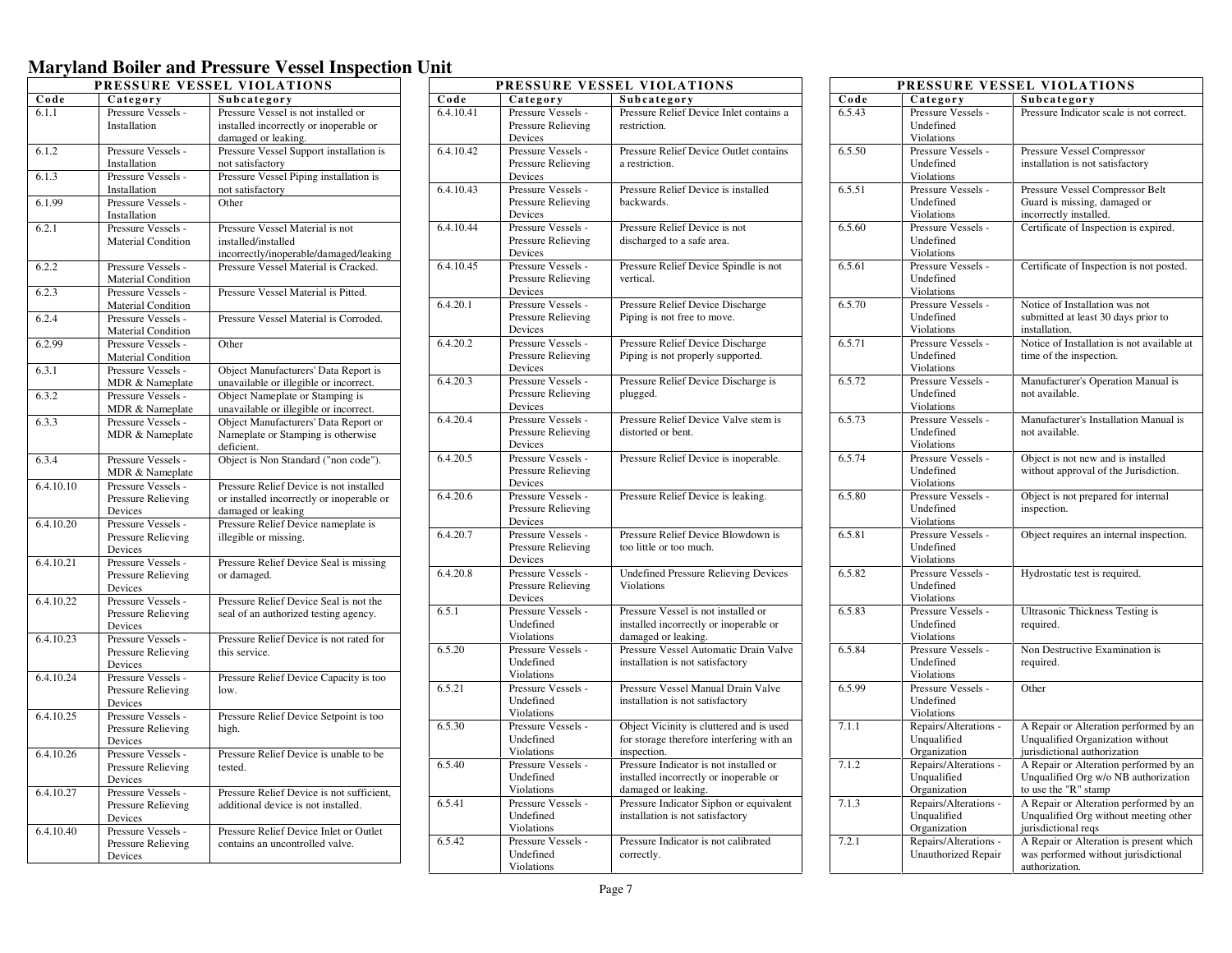| PRESSURE VESSEL VIOLATIONS |                                          |                                                                           |
|----------------------------|------------------------------------------|---------------------------------------------------------------------------|
| Code                       | Category                                 | Subcategory                                                               |
| 6.1.1                      | Pressure Vessels -                       | Pressure Vessel is not installed or                                       |
|                            | Installation                             | installed incorrectly or inoperable or                                    |
|                            |                                          | damaged or leaking.                                                       |
| 6.1.2                      | Pressure Vessels -                       | Pressure Vessel Support installation is                                   |
|                            | Installation                             | not satisfactory                                                          |
| 6.1.3                      | Pressure Vessels -                       | Pressure Vessel Piping installation is                                    |
|                            | Installation                             | not satisfactory                                                          |
| 6.1.99                     | Pressure Vessels -                       | Other                                                                     |
|                            | Installation                             |                                                                           |
| 6.2.1                      | Pressure Vessels -                       | Pressure Vessel Material is not                                           |
|                            | Material Condition                       | installed/installed                                                       |
|                            |                                          | incorrectly/inoperable/damaged/leaking                                    |
| 6.2.2                      | Pressure Vessels -                       | Pressure Vessel Material is Cracked.                                      |
|                            | <b>Material Condition</b>                |                                                                           |
| 6.2.3                      | Pressure Vessels -                       | Pressure Vessel Material is Pitted.                                       |
|                            | <b>Material Condition</b>                |                                                                           |
| 6.2.4                      | Pressure Vessels -                       | Pressure Vessel Material is Corroded.                                     |
|                            | <b>Material Condition</b>                |                                                                           |
| 6.2.99                     | Pressure Vessels -                       | Other                                                                     |
|                            | <b>Material Condition</b>                |                                                                           |
| 6.3.1                      | Pressure Vessels -                       | Object Manufacturers' Data Report is                                      |
|                            | MDR & Nameplate                          | unavailable or illegible or incorrect.                                    |
| 6.3.2                      | Pressure Vessels -                       | Object Nameplate or Stamping is                                           |
|                            | MDR & Nameplate                          | unavailable or illegible or incorrect.                                    |
| 6.3.3                      | Pressure Vessels -                       | Object Manufacturers' Data Report or                                      |
|                            | MDR & Nameplate                          | Nameplate or Stamping is otherwise                                        |
|                            |                                          | deficient.                                                                |
| 6.3.4                      | Pressure Vessels -                       | Object is Non Standard ("non code").                                      |
|                            | MDR & Nameplate                          |                                                                           |
| 6.4.10.10                  | Pressure Vessels -                       | Pressure Relief Device is not installed                                   |
|                            | Pressure Relieving                       | or installed incorrectly or inoperable or                                 |
| 6.4.10.20                  | Devices<br>Pressure Vessels -            | damaged or leaking<br>Pressure Relief Device nameplate is                 |
|                            | Pressure Relieving                       | illegible or missing.                                                     |
|                            | Devices                                  |                                                                           |
| 6.4.10.21                  | Pressure Vessels -                       | Pressure Relief Device Seal is missing                                    |
|                            | Pressure Relieving                       | or damaged.                                                               |
|                            | Devices                                  |                                                                           |
| 6.4.10.22                  | Pressure Vessels -                       | Pressure Relief Device Seal is not the                                    |
|                            | Pressure Relieving                       | seal of an authorized testing agency.                                     |
|                            | Devices                                  |                                                                           |
| 6.4.10.23                  | Pressure Vessels -                       | Pressure Relief Device is not rated for                                   |
|                            | Pressure Relieving                       | this service.                                                             |
|                            | Devices                                  |                                                                           |
| 6.4.10.24                  | Pressure Vessels -                       | Pressure Relief Device Capacity is too                                    |
|                            | Pressure Relieving                       | low.                                                                      |
|                            | Devices                                  |                                                                           |
| 6.4.10.25                  | Pressure Vessels -                       | Pressure Relief Device Setpoint is too                                    |
|                            | Pressure Relieving                       | high.                                                                     |
|                            | Devices                                  |                                                                           |
| 6.4.10.26                  | Pressure Vessels -                       | Pressure Relief Device is unable to be                                    |
|                            | Pressure Relieving                       | tested.                                                                   |
|                            | Devices                                  |                                                                           |
| 6.4.10.27                  | Pressure Vessels -                       | Pressure Relief Device is not sufficient,                                 |
|                            | Pressure Relieving                       | additional device is not installed.                                       |
|                            | Devices                                  |                                                                           |
| 6.4.10.40                  | Pressure Vessels -<br>Pressure Relieving | Pressure Relief Device Inlet or Outlet<br>contains an uncontrolled valve. |
|                            |                                          |                                                                           |
|                            | Devices                                  |                                                                           |

| PRESSURE VESSEL VIOLATIONS |                                  |                                                              |
|----------------------------|----------------------------------|--------------------------------------------------------------|
| Code                       | Category                         | Subcategory                                                  |
| 6.4.10.41                  | Pressure Vessels -               | Pressure Relief Device Inlet contains a                      |
|                            | Pressure Relieving               | restriction.                                                 |
|                            | Devices                          |                                                              |
| 6.4.10.42                  | Pressure Vessels -               | Pressure Relief Device Outlet contains                       |
|                            | Pressure Relieving<br>Devices    | a restriction.                                               |
| 6.4.10.43                  | Pressure Vessels -               | Pressure Relief Device is installed                          |
|                            | Pressure Relieving               | backwards.                                                   |
|                            | Devices                          |                                                              |
| 6.4.10.44                  | Pressure Vessels -               | Pressure Relief Device is not                                |
|                            | Pressure Relieving               | discharged to a safe area.                                   |
|                            | Devices                          |                                                              |
| 6.4.10.45                  | Pressure Vessels -               | Pressure Relief Device Spindle is not                        |
|                            | Pressure Relieving               | vertical.                                                    |
| 6.4.20.1                   | Devices<br>Pressure Vessels -    | Pressure Relief Device Discharge                             |
|                            | Pressure Relieving               | Piping is not free to move.                                  |
|                            | Devices                          |                                                              |
| 6.4.20.2                   | Pressure Vessels -               | Pressure Relief Device Discharge                             |
|                            | Pressure Relieving               | Piping is not properly supported.                            |
|                            | Devices                          |                                                              |
| 6.4.20.3                   | Pressure Vessels -               | Pressure Relief Device Discharge is                          |
|                            | Pressure Relieving               | plugged.                                                     |
| 6.4.20.4                   | Devices<br>Pressure Vessels -    | Pressure Relief Device Valve stem is                         |
|                            | Pressure Relieving               | distorted or bent.                                           |
|                            | Devices                          |                                                              |
| 6.4.20.5                   | Pressure Vessels -               | Pressure Relief Device is inoperable.                        |
|                            | Pressure Relieving               |                                                              |
|                            | Devices                          |                                                              |
| 6.4.20.6                   | Pressure Vessels -               | Pressure Relief Device is leaking.                           |
|                            | Pressure Relieving               |                                                              |
| 6.4.20.7                   | Devices<br>Pressure Vessels -    | Pressure Relief Device Blowdown is                           |
|                            | Pressure Relieving               | too little or too much.                                      |
|                            | Devices                          |                                                              |
| 6.4.20.8                   | Pressure Vessels -               | <b>Undefined Pressure Relieving Devices</b>                  |
|                            | Pressure Relieving               | Violations                                                   |
|                            | Devices                          |                                                              |
| 6.5.1                      | Pressure Vessels -               | Pressure Vessel is not installed or                          |
|                            | Undefined<br>Violations          | installed incorrectly or inoperable or                       |
| 6.5.20                     | Pressure Vessels -               | damaged or leaking.<br>Pressure Vessel Automatic Drain Valve |
|                            | Undefined                        | installation is not satisfactory                             |
|                            | Violations                       |                                                              |
| 6.5.21                     | Pressure Vessels -               | Pressure Vessel Manual Drain Valve                           |
|                            | Undefined                        | installation is not satisfactory                             |
|                            | Violations                       |                                                              |
| 6.5.30                     | Pressure Vessels -               | Object Vicinity is cluttered and is used                     |
|                            | Undefined                        | for storage therefore interfering with an                    |
| 6.5.40                     | Violations<br>Pressure Vessels - | inspection.<br>Pressure Indicator is not installed or        |
|                            | Undefined                        | installed incorrectly or inoperable or                       |
|                            | Violations                       | damaged or leaking.                                          |
| 6.5.41                     | Pressure Vessels -               | Pressure Indicator Siphon or equivalent                      |
|                            | Undefined                        | installation is not satisfactory                             |
|                            | Violations                       |                                                              |
| 6.5.42                     | Pressure Vessels -               | Pressure Indicator is not calibrated                         |
|                            | Undefined                        | correctly.                                                   |
|                            | Violations                       |                                                              |

|        |                                  | PRESSURE VESSEL VIOLATIONS                                                 |
|--------|----------------------------------|----------------------------------------------------------------------------|
| Code   | Category                         | Subcategory                                                                |
| 6.5.43 | Pressure Vessels -               | Pressure Indicator scale is not correct.                                   |
|        | Undefined                        |                                                                            |
|        | Violations                       |                                                                            |
| 6.5.50 | Pressure Vessels -               | Pressure Vessel Compressor                                                 |
|        | Undefined                        | installation is not satisfactory                                           |
|        | Violations                       |                                                                            |
| 6.5.51 | Pressure Vessels -               | Pressure Vessel Compressor Belt                                            |
|        | Undefined                        | Guard is missing, damaged or                                               |
|        | Violations                       | incorrectly installed.                                                     |
| 6.5.60 | Pressure Vessels -               | Certificate of Inspection is expired.                                      |
|        | Undefined                        |                                                                            |
|        | Violations                       |                                                                            |
| 6.5.61 | Pressure Vessels -               | Certificate of Inspection is not posted.                                   |
|        | Undefined                        |                                                                            |
| 6.5.70 | Violations<br>Pressure Vessels - | Notice of Installation was not                                             |
|        | Undefined                        | submitted at least 30 days prior to                                        |
|        | Violations                       | installation.                                                              |
| 6.5.71 | Pressure Vessels -               | Notice of Installation is not available at                                 |
|        | Undefined                        | time of the inspection.                                                    |
|        | <b>Violations</b>                |                                                                            |
| 6.5.72 | Pressure Vessels -               | Manufacturer's Operation Manual is                                         |
|        | Undefined                        | not available.                                                             |
|        | Violations                       |                                                                            |
| 6.5.73 | Pressure Vessels -               | Manufacturer's Installation Manual is                                      |
|        | Undefined                        | not available.                                                             |
|        | Violations                       |                                                                            |
| 6.5.74 | Pressure Vessels -               | Object is not new and is installed                                         |
|        | Undefined                        | without approval of the Jurisdiction.                                      |
|        | Violations                       |                                                                            |
| 6.5.80 | Pressure Vessels -<br>Undefined  | Object is not prepared for internal<br>inspection.                         |
|        | Violations                       |                                                                            |
| 6.5.81 | Pressure Vessels -               | Object requires an internal inspection.                                    |
|        | Undefined                        |                                                                            |
|        | Violations                       |                                                                            |
| 6.5.82 | Pressure Vessels -               | Hydrostatic test is required.                                              |
|        | Undefined                        |                                                                            |
|        | Violations                       |                                                                            |
| 6.5.83 | Pressure Vessels -               | <b>Ultrasonic Thickness Testing is</b>                                     |
|        | Undefined                        | required.                                                                  |
|        | Violations                       |                                                                            |
| 6.5.84 | Pressure Vessels -               | Non Destructive Examination is                                             |
|        | Undefined                        | required.                                                                  |
|        | Violations                       |                                                                            |
| 6.5.99 | Pressure Vessels -               | Other                                                                      |
|        | Undefined<br>Violations          |                                                                            |
| 7.1.1  | Repairs/Alterations -            |                                                                            |
|        | Unqualified                      | A Repair or Alteration performed by an<br>Unqualified Organization without |
|        | Organization                     | jurisdictional authorization                                               |
| 7.1.2  | Repairs/Alterations -            | A Repair or Alteration performed by an                                     |
|        | Unqualified                      | Unqualified Org w/o NB authorization                                       |
|        | Organization                     | to use the "R" stamp                                                       |
| 7.1.3  | Repairs/Alterations -            | A Repair or Alteration performed by an                                     |
|        | Unqualified                      | Unqualified Org without meeting other                                      |
|        | Organization                     | jurisdictional reqs                                                        |
| 7.2.1  | Repairs/Alterations -            | A Repair or Alteration is present which                                    |
|        | <b>Unauthorized Repair</b>       | was performed without jurisdictional                                       |
|        |                                  | authorization.                                                             |